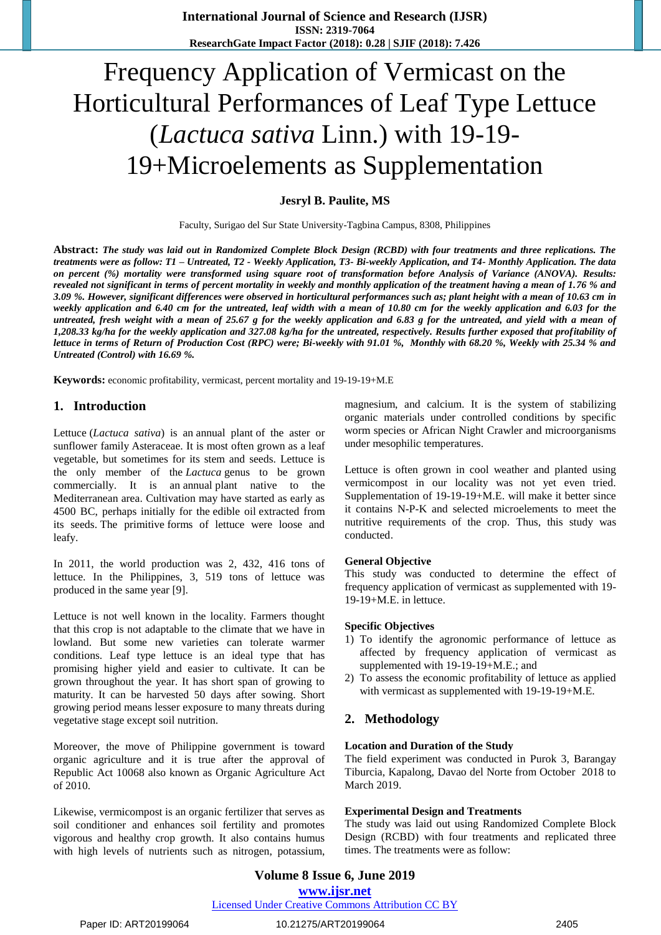# Frequency Application of Vermicast on the Horticultural Performances of Leaf Type Lettuce (*Lactuca sativa* Linn.) with 19-19- 19+Microelements as Supplementation

**Jesryl B. Paulite, MS**

Faculty, Surigao del Sur State University-Tagbina Campus, 8308, Philippines

**Abstract:** *The study was laid out in Randomized Complete Block Design (RCBD) with four treatments and three replications. The treatments were as follow: T1 – Untreated, T2 - Weekly Application, T3- Bi-weekly Application, and T4- Monthly Application. The data on percent (%) mortality were transformed using square root of transformation before Analysis of Variance (ANOVA). Results: revealed not significant in terms of percent mortality in weekly and monthly application of the treatment having a mean of 1.76 % and 3.09 %. However, significant differences were observed in horticultural performances such as; plant height with a mean of 10.63 cm in*  weekly application and 6.40 cm for the untreated, leaf width with a mean of 10.80 cm for the weekly application and 6.03 for the *untreated, fresh weight with a mean of 25.67 g for the weekly application and 6.83 g for the untreated, and yield with a mean of 1,208.33 kg/ha for the weekly application and 327.08 kg/ha for the untreated, respectively. Results further exposed that profitability of lettuce in terms of Return of Production Cost (RPC) were; Bi-weekly with 91.01 %, Monthly with 68.20 %, Weekly with 25.34 % and Untreated (Control) with 16.69 %.*

**Keywords:** economic profitability, vermicast, percent mortality and 19-19-19+M.E

#### **1. Introduction**

Lettuce (*Lactuca sativa*) is an annual plant of the aster or sunflower family Asteraceae. It is most often grown as a leaf vegetable, but sometimes for its stem and seeds. Lettuce is the only member of the *Lactuca* genus to be grown commercially. It is an annual plant native to the Mediterranean area. Cultivation may have started as early as 4500 BC, perhaps initially for the edible oil extracted from its seeds. The primitive forms of lettuce were loose and leafy.

In 2011, the world production was 2, 432, 416 tons of lettuce. In the Philippines, 3, 519 tons of lettuce was produced in the same year [9].

Lettuce is not well known in the locality. Farmers thought that this crop is not adaptable to the climate that we have in lowland. But some new varieties can tolerate warmer conditions. Leaf type lettuce is an ideal type that has promising higher yield and easier to cultivate. It can be grown throughout the year. It has short span of growing to maturity. It can be harvested 50 days after sowing. Short growing period means lesser exposure to many threats during vegetative stage except soil nutrition.

Moreover, the move of Philippine government is toward organic agriculture and it is true after the approval of Republic Act 10068 also known as Organic Agriculture Act of 2010.

Likewise, vermicompost is an organic fertilizer that serves as soil conditioner and enhances soil fertility and promotes vigorous and healthy crop growth. It also contains humus with high levels of nutrients such as nitrogen, potassium, magnesium, and calcium. It is the system of stabilizing organic materials under controlled conditions by specific worm species or African Night Crawler and microorganisms under mesophilic temperatures.

Lettuce is often grown in cool weather and planted using vermicompost in our locality was not yet even tried. Supplementation of 19-19-19+M.E. will make it better since it contains N-P-K and selected microelements to meet the nutritive requirements of the crop. Thus, this study was conducted.

#### **General Objective**

This study was conducted to determine the effect of frequency application of vermicast as supplemented with 19- 19-19+M.E. in lettuce.

#### **Specific Objectives**

- 1) To identify the agronomic performance of lettuce as affected by frequency application of vermicast as supplemented with 19-19-19+M.E.; and
- 2) To assess the economic profitability of lettuce as applied with vermicast as supplemented with 19-19-19+M.E.

# **2. Methodology**

#### **Location and Duration of the Study**

The field experiment was conducted in Purok 3, Barangay Tiburcia, Kapalong, Davao del Norte from October 2018 to March 2019.

#### **Experimental Design and Treatments**

The study was laid out using Randomized Complete Block Design (RCBD) with four treatments and replicated three times. The treatments were as follow:

# **Volume 8 Issue 6, June 2019 www.ijsr.net**

Licensed Under Creative Commons Attribution CC BY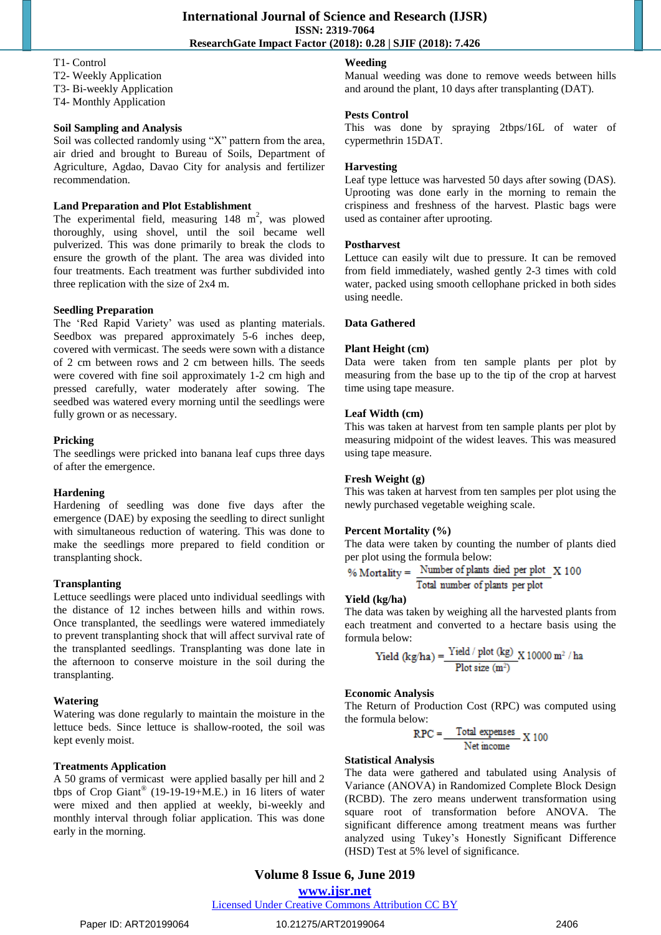#### T1- Control

- T2- Weekly Application
- T3- Bi-weekly Application
- T4- Monthly Application

# **Soil Sampling and Analysis**

Soil was collected randomly using "X" pattern from the area, air dried and brought to Bureau of Soils, Department of Agriculture, Agdao, Davao City for analysis and fertilizer recommendation.

#### **Land Preparation and Plot Establishment**

The experimental field, measuring  $148 \text{ m}^2$ , was plowed thoroughly, using shovel, until the soil became well pulverized. This was done primarily to break the clods to ensure the growth of the plant. The area was divided into four treatments. Each treatment was further subdivided into three replication with the size of 2x4 m.

#### **Seedling Preparation**

The "Red Rapid Variety" was used as planting materials. Seedbox was prepared approximately 5-6 inches deep, covered with vermicast. The seeds were sown with a distance of 2 cm between rows and 2 cm between hills. The seeds were covered with fine soil approximately 1-2 cm high and pressed carefully, water moderately after sowing. The seedbed was watered every morning until the seedlings were fully grown or as necessary.

#### **Pricking**

The seedlings were pricked into banana leaf cups three days of after the emergence.

#### **Hardening**

Hardening of seedling was done five days after the emergence (DAE) by exposing the seedling to direct sunlight with simultaneous reduction of watering. This was done to make the seedlings more prepared to field condition or transplanting shock.

#### **Transplanting**

Lettuce seedlings were placed unto individual seedlings with the distance of 12 inches between hills and within rows. Once transplanted, the seedlings were watered immediately to prevent transplanting shock that will affect survival rate of the transplanted seedlings. Transplanting was done late in the afternoon to conserve moisture in the soil during the transplanting.

#### **Watering**

Watering was done regularly to maintain the moisture in the lettuce beds. Since lettuce is shallow-rooted, the soil was kept evenly moist.

# **Treatments Application**

A 50 grams of vermicast were applied basally per hill and 2 tbps of Crop Giant® (19-19-19+M.E.) in 16 liters of water were mixed and then applied at weekly, bi-weekly and monthly interval through foliar application. This was done early in the morning.

# **Weeding**

Manual weeding was done to remove weeds between hills and around the plant, 10 days after transplanting (DAT).

#### **Pests Control**

This was done by spraying 2tbps/16L of water of cypermethrin 15DAT.

#### **Harvesting**

Leaf type lettuce was harvested 50 days after sowing (DAS). Uprooting was done early in the morning to remain the crispiness and freshness of the harvest. Plastic bags were used as container after uprooting.

#### **Postharvest**

Lettuce can easily wilt due to pressure. It can be removed from field immediately, washed gently 2-3 times with cold water, packed using smooth cellophane pricked in both sides using needle.

#### **Data Gathered**

#### **Plant Height (cm)**

Data were taken from ten sample plants per plot by measuring from the base up to the tip of the crop at harvest time using tape measure.

#### **Leaf Width (cm)**

This was taken at harvest from ten sample plants per plot by measuring midpoint of the widest leaves. This was measured using tape measure.

# **Fresh Weight (g)**

This was taken at harvest from ten samples per plot using the newly purchased vegetable weighing scale.

# **Percent Mortality (%)**

The data were taken by counting the number of plants died per plot using the formula below:

% Mortality = 
$$
\frac{\text{Number of plants died per plot}}{\text{Total number of plants per plot}} \times 100
$$

# **Yield (kg/ha)**

The data was taken by weighing all the harvested plants from each treatment and converted to a hectare basis using the formula below:

Yield (kg/ha) =  $\frac{\text{Yield} / \text{plot (kg)}}{\text{Plot size (m^2)}}$  X 10000 m<sup>2</sup> / ha

#### **Economic Analysis**

The Return of Production Cost (RPC) was computed using the formula below:

$$
RPC = \frac{Total expenses}{Net income} \times 100
$$

#### **Statistical Analysis**

The data were gathered and tabulated using Analysis of Variance (ANOVA) in Randomized Complete Block Design (RCBD). The zero means underwent transformation using square root of transformation before ANOVA. The significant difference among treatment means was further analyzed using Tukey"s Honestly Significant Difference (HSD) Test at 5% level of significance.

# **Volume 8 Issue 6, June 2019**

**www.ijsr.net**

Licensed Under Creative Commons Attribution CC BY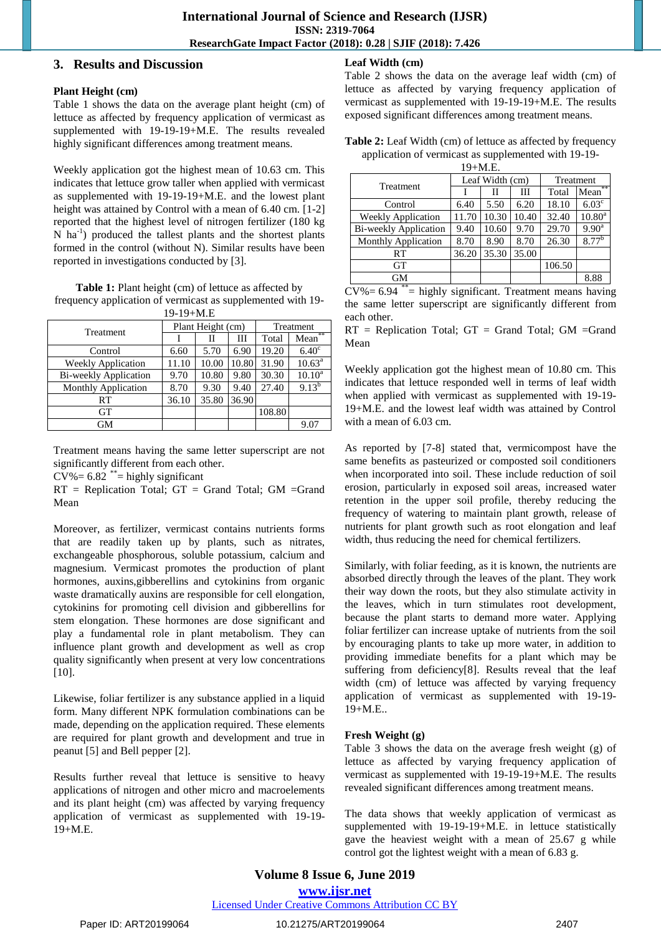# **3. Results and Discussion**

#### **Plant Height (cm)**

Table 1 shows the data on the average plant height (cm) of lettuce as affected by frequency application of vermicast as supplemented with 19-19-19+M.E. The results revealed highly significant differences among treatment means.

Weekly application got the highest mean of 10.63 cm. This indicates that lettuce grow taller when applied with vermicast as supplemented with 19-19-19+M.E. and the lowest plant height was attained by Control with a mean of 6.40 cm. [1-2] reported that the highest level of nitrogen fertilizer (180 kg N ha<sup>-1</sup>) produced the tallest plants and the shortest plants formed in the control (without N). Similar results have been reported in investigations conducted by [3].

Table 1: Plant height (cm) of lettuce as affected by frequency application of vermicast as supplemented with 19-  $19-19+M \text{ F}$ 

| 17-17 <del>-</del> IVI.L     |       |                   |           |        |                   |  |
|------------------------------|-------|-------------------|-----------|--------|-------------------|--|
| Treatment                    |       | Plant Height (cm) | Treatment |        |                   |  |
|                              |       | Н                 | Ш         | Total  | Mean**            |  |
| Control                      | 6.60  | 5.70              | 6.90      | 19.20  | 6.40 <sup>c</sup> |  |
| <b>Weekly Application</b>    | 11.10 | 10.00             | 10.80     | 31.90  | $10.63^a$         |  |
| <b>Bi-weekly Application</b> | 9.70  | 10.80             | 9.80      | 30.30  | $10.10^a$         |  |
| <b>Monthly Application</b>   | 8.70  | 9.30              | 9.40      | 27.40  | $9.13^{b}$        |  |
| RT                           | 36.10 | 35.80             | 36.90     |        |                   |  |
| <b>GT</b>                    |       |                   |           | 108.80 |                   |  |
| GМ                           |       |                   |           |        | 9.07              |  |

Treatment means having the same letter superscript are not significantly different from each other.

 $CV\% = 6.82$ <sup>\*\*</sup>= highly significant

RT = Replication Total; GT = Grand Total; GM =Grand Mean

Moreover, as fertilizer, vermicast contains nutrients forms that are readily taken up by plants, such as nitrates, exchangeable phosphorous, soluble potassium, calcium and magnesium. Vermicast promotes the production of plant hormones, auxins,gibberellins and cytokinins from organic waste dramatically auxins are responsible for cell elongation, cytokinins for promoting cell division and gibberellins for stem elongation. These hormones are dose significant and play a fundamental role in plant metabolism. They can influence plant growth and development as well as crop quality significantly when present at very low concentrations [10].

Likewise, foliar fertilizer is any substance applied in a liquid form. Many different NPK formulation combinations can be made, depending on the application required. These elements are required for plant growth and development and true in peanut [5] and Bell pepper [2].

Results further reveal that lettuce is sensitive to heavy applications of nitrogen and other micro and macroelements and its plant height (cm) was affected by varying frequency application of vermicast as supplemented with 19-19- 19+M.E.

# **Leaf Width (cm)**

Table 2 shows the data on the average leaf width (cm) of lettuce as affected by varying frequency application of vermicast as supplemented with 19-19-19+M.E. The results exposed significant differences among treatment means.

| Table 2: Leaf Width (cm) of lettuce as affected by frequency |
|--------------------------------------------------------------|
| application of vermicast as supplemented with 19-19-         |

| $19+M.E.$                    |       |                 |           |        |                   |  |
|------------------------------|-------|-----------------|-----------|--------|-------------------|--|
| Treatment                    |       | Leaf Width (cm) | Treatment |        |                   |  |
|                              |       | Н               | Ш         | Total  | $Mean^*$          |  |
| Control                      | 6.40  | 5.50            | 6.20      | 18.10  | 6.03 <sup>c</sup> |  |
| <b>Weekly Application</b>    | 11.70 | 10.30           | 10.40     | 32.40  | $10.80^{\rm a}$   |  |
| <b>Bi-weekly Application</b> | 9.40  | 10.60           | 9.70      | 29.70  | $9.90^{\rm a}$    |  |
| <b>Monthly Application</b>   | 8.70  | 8.90            | 8.70      | 26.30  | $8.77^{b}$        |  |
| RT                           | 36.20 | 35.30           | 35.00     |        |                   |  |
| <b>GT</b>                    |       |                 |           | 106.50 |                   |  |
| <b>GM</b>                    |       |                 |           |        | 8.88              |  |

 $CV\% = 6.94$ <sup>\*\*</sup>= highly significant. Treatment means having the same letter superscript are significantly different from each other.

 $RT$  = Replication Total;  $GT$  = Grand Total;  $GM$  = Grand Mean

Weekly application got the highest mean of 10.80 cm. This indicates that lettuce responded well in terms of leaf width when applied with vermicast as supplemented with 19-19- 19+M.E. and the lowest leaf width was attained by Control with a mean of 6.03 cm.

As reported by [7-8] stated that, vermicompost have the same benefits as pasteurized or composted soil conditioners when incorporated into soil. These include reduction of soil erosion, particularly in exposed soil areas, increased water retention in the upper soil profile, thereby reducing the frequency of watering to maintain plant growth, release of nutrients for plant growth such as root elongation and leaf width, thus reducing the need for chemical fertilizers.

Similarly, with foliar feeding, as it is known, the nutrients are absorbed directly through the leaves of the plant. They work their way down the roots, but they also stimulate activity in the leaves, which in turn stimulates root development, because the plant starts to demand more water. Applying foliar fertilizer can increase uptake of nutrients from the soil by encouraging plants to take up more water, in addition to providing immediate benefits for a plant which may be suffering from deficiency[8]. Results reveal that the leaf width (cm) of lettuce was affected by varying frequency application of vermicast as supplemented with 19-19- 19+M.E..

# **Fresh Weight (g)**

Table 3 shows the data on the average fresh weight (g) of lettuce as affected by varying frequency application of vermicast as supplemented with 19-19-19+M.E. The results revealed significant differences among treatment means.

The data shows that weekly application of vermicast as supplemented with 19-19-19+M.E. in lettuce statistically gave the heaviest weight with a mean of 25.67 g while control got the lightest weight with a mean of 6.83 g.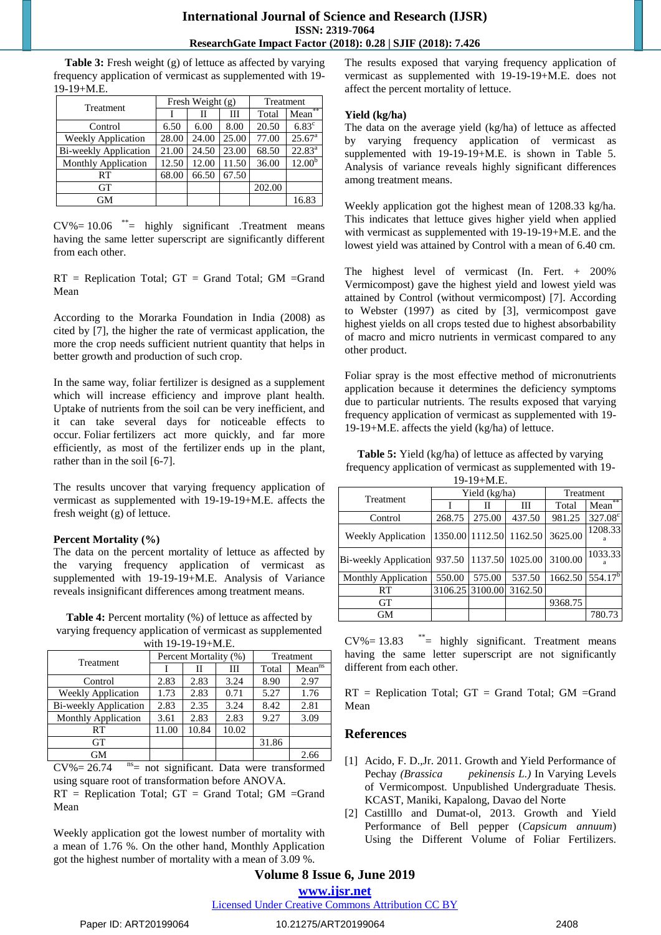# **International Journal of Science and Research (IJSR) ISSN: 2319-7064 ResearchGate Impact Factor (2018): 0.28 | SJIF (2018): 7.426**

**Table 3:** Fresh weight (g) of lettuce as affected by varying frequency application of vermicast as supplemented with 19- 19-19+M.E.

| Treatment                  | Fresh Weight (g) |       |       | Treatment |                    |
|----------------------------|------------------|-------|-------|-----------|--------------------|
|                            |                  | П     | Ш     | Total     | Mean**             |
| Control                    | 6.50             | 6.00  | 8.00  | 20.50     | $6.83^{\circ}$     |
| <b>Weekly Application</b>  | 28.00            | 24.00 | 25.00 | 77.00     | $25.67^{\text{a}}$ |
| Bi-weekly Application      | 21.00            | 24.50 | 23.00 | 68.50     | $22.83^{a}$        |
| <b>Monthly Application</b> | 12.50            | 12.00 | 11.50 | 36.00     | $12.00^{b}$        |
| RT                         | 68.00            | 66.50 | 67.50 |           |                    |
| <b>GT</b>                  |                  |       |       | 202.00    |                    |
| GM                         |                  |       |       |           | 16.83              |

 $CV\% = 10.06$  \*\*\* highly significant .Treatment means having the same letter superscript are significantly different from each other.

 $RT$  = Replication Total;  $GT$  = Grand Total;  $GM$  =Grand Mean

According to the Morarka Foundation in India (2008) as cited by [7], the higher the rate of vermicast application, the more the crop needs sufficient nutrient quantity that helps in better growth and production of such crop.

In the same way, foliar fertilizer is designed as a supplement which will increase efficiency and improve plant health. Uptake of nutrients from the soil can be very inefficient, and it can take several days for noticeable effects to occur. Foliar fertilizers act more quickly, and far more efficiently, as most of the fertilizer ends up in the plant, rather than in the soil [6-7].

The results uncover that varying frequency application of vermicast as supplemented with 19-19-19+M.E. affects the fresh weight (g) of lettuce.

#### **Percent Mortality (%)**

The data on the percent mortality of lettuce as affected by the varying frequency application of vermicast as supplemented with 19-19-19+M.E. Analysis of Variance reveals insignificant differences among treatment means.

**Table 4:** Percent mortality (%) of lettuce as affected by varying frequency application of vermicast as supplemented with  $10, 10, 10$   $M<sub>E</sub>$ 

| WILLI $12-12-12+1$ VI.L.   |       |                       |           |       |                    |  |
|----------------------------|-------|-----------------------|-----------|-------|--------------------|--|
| <b>Treatment</b>           |       | Percent Mortality (%) | Treatment |       |                    |  |
|                            |       | Н                     | Ш         | Total | Mean <sup>ns</sup> |  |
| Control                    | 2.83  | 2.83                  | 3.24      | 8.90  | 2.97               |  |
| <b>Weekly Application</b>  | 1.73  | 2.83                  | 0.71      | 5.27  | 1.76               |  |
| Bi-weekly Application      | 2.83  | 2.35                  | 3.24      | 8.42  | 2.81               |  |
| <b>Monthly Application</b> | 3.61  | 2.83                  | 2.83      | 9.27  | 3.09               |  |
| RT                         | 11.00 | 10.84                 | 10.02     |       |                    |  |
| <b>GT</b>                  |       |                       |           | 31.86 |                    |  |
| GМ                         |       |                       |           |       | 2.66               |  |

 $CV\% = 26.74$  <sup>ns</sup> = not significant. Data were transformed using square root of transformation before ANOVA.

 $RT$  = Replication Total;  $GT$  = Grand Total;  $GM$  = Grand Mean

Weekly application got the lowest number of mortality with a mean of 1.76 %. On the other hand, Monthly Application got the highest number of mortality with a mean of 3.09 %.

The results exposed that varying frequency application of vermicast as supplemented with 19-19-19+M.E. does not affect the percent mortality of lettuce.

#### **Yield (kg/ha)**

The data on the average yield (kg/ha) of lettuce as affected by varying frequency application of vermicast as supplemented with 19-19-19+M.E. is shown in Table 5. Analysis of variance reveals highly significant differences among treatment means.

Weekly application got the highest mean of 1208.33 kg/ha. This indicates that lettuce gives higher yield when applied with vermicast as supplemented with 19-19-19+M.E. and the lowest yield was attained by Control with a mean of 6.40 cm.

The highest level of vermicast (In. Fert. + 200% Vermicompost) gave the highest yield and lowest yield was attained by Control (without vermicompost) [7]. According to Webster (1997) as cited by [3], vermicompost gave highest yields on all crops tested due to highest absorbability of macro and micro nutrients in vermicast compared to any other product.

Foliar spray is the most effective method of micronutrients application because it determines the deficiency symptoms due to particular nutrients. The results exposed that varying frequency application of vermicast as supplemented with 19- 19-19+M.E. affects the yield (kg/ha) of lettuce.

**Table 5:** Yield (kg/ha) of lettuce as affected by varying frequency application of vermicast as supplemented with 19-  $10^{-10+1}$  E

| 1 2 - 1 2 T.W.L.                             |        |                 |                         |         |                  |  |
|----------------------------------------------|--------|-----------------|-------------------------|---------|------------------|--|
|                                              |        | Yield (kg/ha)   | Treatment               |         |                  |  |
| Treatment                                    |        |                 | Ш                       | Total   | **<br>Mean       |  |
| Control                                      | 268.75 | 275.00          | 437.50                  | 981.25  | $327.08^{\circ}$ |  |
| <b>Weekly Application</b>                    |        |                 | 1350.00 1112.50 1162.50 | 3625.00 | 1208.33          |  |
| Bi-weekly Application 937.50 1137.50 1025.00 |        |                 |                         | 3100.00 | 1033.33          |  |
| <b>Monthly Application</b>                   | 550.00 | 575.00          | 537.50                  | 1662.50 | $554.17^b$       |  |
| RT                                           |        | 3106.25 3100.00 | 3162.50                 |         |                  |  |
| GT                                           |        |                 |                         | 9368.75 |                  |  |
| GM                                           |        |                 |                         |         | 780.73           |  |

 $CV\% = 13.83$  \*\*= highly significant. Treatment means having the same letter superscript are not significantly different from each other.

 $RT$  = Replication Total;  $GT$  = Grand Total;  $GM$  =Grand Mean

# **References**

- [1] Acido, F. D., Jr. 2011. Growth and Yield Performance of Pechay *(Brassica pekinensis L.)* In Varying Levels of Vermicompost. Unpublished Undergraduate Thesis. KCAST, Maniki, Kapalong, Davao del Norte
- [2] Castilllo and Dumat-ol, 2013. Growth and Yield Performance of Bell pepper (*Capsicum annuum*) Using the Different Volume of Foliar Fertilizers.

# **Volume 8 Issue 6, June 2019**

**www.ijsr.net**

Licensed Under Creative Commons Attribution CC BY